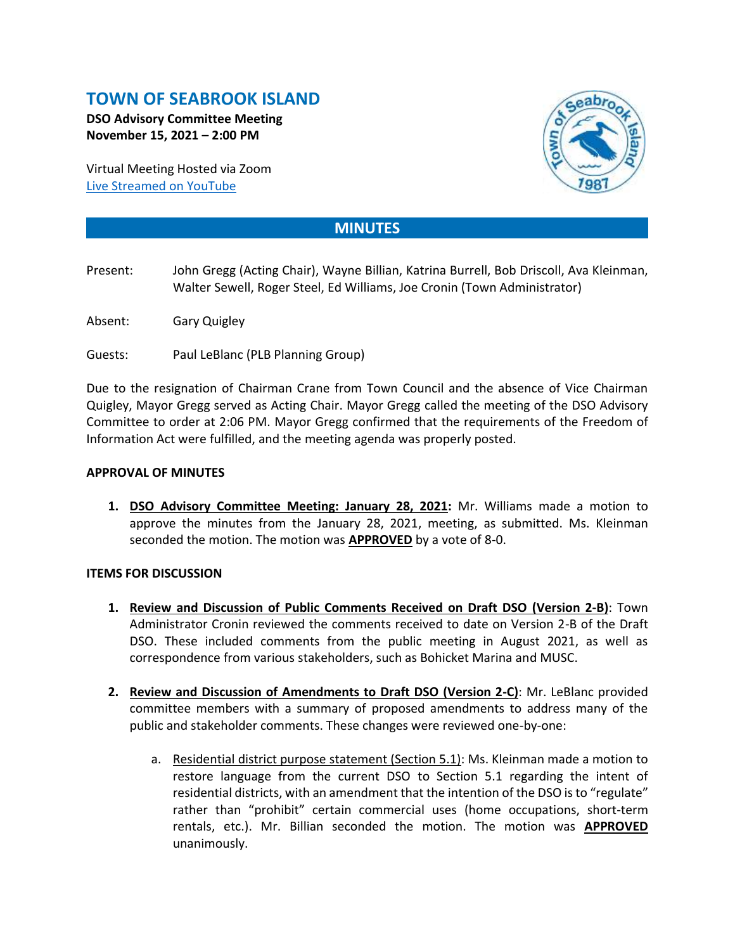# **TOWN OF SEABROOK ISLAND**

**DSO Advisory Committee Meeting November 15, 2021 – 2:00 PM**

Virtual Meeting Hosted via Zoom [Live Streamed on](https://www.youtube.com/channel/UCIkF87knEApHD1q0kGlaGZg) YouTube



# **MINUTES**

- Present: John Gregg (Acting Chair), Wayne Billian, Katrina Burrell, Bob Driscoll, Ava Kleinman, Walter Sewell, Roger Steel, Ed Williams, Joe Cronin (Town Administrator)
- Absent: Gary Quigley

Guests: Paul LeBlanc (PLB Planning Group)

Due to the resignation of Chairman Crane from Town Council and the absence of Vice Chairman Quigley, Mayor Gregg served as Acting Chair. Mayor Gregg called the meeting of the DSO Advisory Committee to order at 2:06 PM. Mayor Gregg confirmed that the requirements of the Freedom of Information Act were fulfilled, and the meeting agenda was properly posted.

## **APPROVAL OF MINUTES**

**1. DSO Advisory Committee Meeting: January 28, 2021:** Mr. Williams made a motion to approve the minutes from the January 28, 2021, meeting, as submitted. Ms. Kleinman seconded the motion. The motion was **APPROVED** by a vote of 8-0.

### **ITEMS FOR DISCUSSION**

- **1. Review and Discussion of Public Comments Received on Draft DSO (Version 2-B)**: Town Administrator Cronin reviewed the comments received to date on Version 2-B of the Draft DSO. These included comments from the public meeting in August 2021, as well as correspondence from various stakeholders, such as Bohicket Marina and MUSC.
- **2. Review and Discussion of Amendments to Draft DSO (Version 2-C)**: Mr. LeBlanc provided committee members with a summary of proposed amendments to address many of the public and stakeholder comments. These changes were reviewed one-by-one:
	- a. Residential district purpose statement (Section 5.1): Ms. Kleinman made a motion to restore language from the current DSO to Section 5.1 regarding the intent of residential districts, with an amendment that the intention of the DSO is to "regulate" rather than "prohibit" certain commercial uses (home occupations, short-term rentals, etc.). Mr. Billian seconded the motion. The motion was **APPROVED** unanimously.